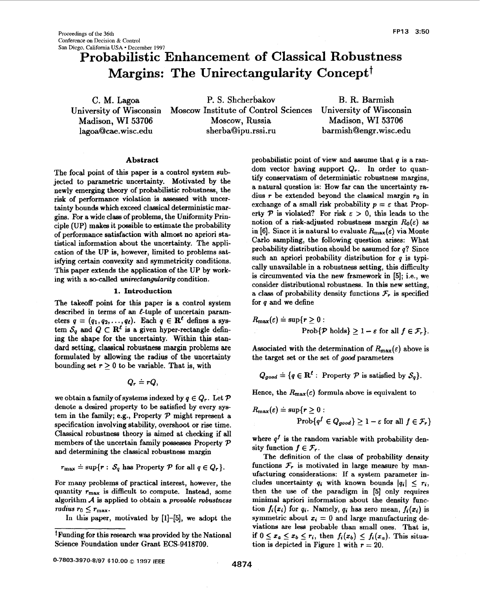# **Probabilistic Enhancement of Classical Robustness Margins: The Unirectangularity Concept<sup>†</sup>**

University **of** Wisconsin

C. M. Lagoa P. S. Shcherbakov **B.** R. Barmish Moscow Institute of Control Sciences University of Wisconsin Madison, WI 53706 Moscow, Russia Madison, WI **53706**  lagoa@cae[. wisc.edu](http://wisc.edu) sherba@ipu.rssi.ru barmish@engr . [wisc.edu](http://wisc.edu) 

## **Abstract**

The focal point of this paper is a control system subjected to parametric uncertainty. Motivated by the newly emerging theory of probabilistic robustness, the risk of performance violation is **assessed** with uncertainty bounds which exceed classical deterministic margins. For a wide class of problems, the Uniformity Principle (UP) makes it possible to estimate the probability of performance satisfaction with almost no apriori statistical information about the uncertainty. The application of the UP is, however, limited to problems satisfying certain convexity and symmetricity conditions. This paper extends the application of the UP by working with a so-called **unireetangulan'ty** condition.

# **1. Introduction**

The takeoff point for this paper **is** a control system described in terms of an  $\ell$ -tuple of uncertain parameters  $q = (q_1, q_2, \ldots, q_t)$ . Each  $q \in \mathbb{R}^t$  defines a system  $S_q$  and  $Q \subset \mathbb{R}^{\ell}$  is a given hyper-rectangle defining the shape for the uncertainty. Within this standard setting, Classical robustness **margin** problems are formulated by allowing the radius of the uncertainty bounding set  $r > 0$  to be variable. That is, with

$$
Q_r\doteq rQ,
$$

we obtain a family of systems indexed by  $q \in Q_r$ . Let  $\mathcal P$ denote a desired property to be satisfied by every system in the family; e.g., Property  $P$  might represent a specification involving stability, overshoot or rise time. Classical robustness theory is aimed at checking if all members of the uncertain family possesses Property *P*  and determining the classical robustness margin

$$
r_{\max} \doteq \sup\{r: S_q \text{ has Property } P \text{ for all } q \in Q_r\}.
$$

For many problems of practical interest, however, the quantity  $r_{\text{max}}$  is difficult to compute. Instead, some algorithm *A* is applied to obtain **a** provable **robustness**  *radius*  $r_0 \leq r_{\text{max}}$ .

In this paper, motivated by **[1]-[5],** we adopt the

dom vector having support  $Q_r$ . In order to quantify conservatism of deterministic robustness margins, a natural question is: **How** far can the uncertainty radius *r* be extended beyond the classical margin *ro* in exchange of a small risk probability  $p = \varepsilon$  that Property  $P$  is violated? For risk  $\varepsilon > 0$ , this leads to the notion of a risk-adjusted robustness margin  $R_0(\varepsilon)$  as in [6]. Since it is natural to evaluate  $R_{\text{max}}(\varepsilon)$  via Monte Carlo sampling, the following question arises: What probability distribution should be assumed for *q?* Since such **an** apriori probability distribution for *q* is typically unavailable in **a** robustness setting, this difficulty is circumvented via the new framework in *[5];* i.e., we consider distributional robustness. In this new setting, a class of probability density functions  $\mathcal{F}_r$  is specified for *q* and we define

probabilistic point of view and assume that *q* is a ran-

$$
R_{\max}(\varepsilon) \doteq \sup\{r \ge 0: \\ \text{Prob}\{\mathcal{P} \text{ holds}\} \ge 1 - \varepsilon \text{ for all } f \in \mathcal{F}_r\}.
$$

Associated with the determination of  $R_{\text{max}}(\varepsilon)$  above is the target set or the set of **good** parameters

$$
Q_{good} \doteq \{q \in \mathbf{R}^{\ell} : \text{ Property } P \text{ is satisfied by } S_q \}.
$$

Hence, the  $R_{\text{max}}(\epsilon)$  formula above is equivalent to

$$
R_{\max}(\varepsilon) \doteq \sup\{r \ge 0 :
$$
  
 
$$
\text{Prob}\{q^f \in Q_{good}\} \ge 1 - \varepsilon \text{ for all } f \in \mathcal{F}_r\}
$$

where  $q<sup>f</sup>$  is the random variable with probability density function  $f \in \mathcal{F}_r$ .

The definition of the class of probability density functions  $\mathcal{F}_r$  is motivated in large measure by manufacturing considerations: If **a** system parameter includes uncertainty  $q_i$  with known bounds  $|q_i| < r_i$ , then the use **of** the paradigm in [5] only requires minimal apriori information about the density function  $f_i(x_i)$  for  $q_i$ . Namely,  $q_i$  has zero mean,  $f_i(x_i)$  is symmetric about  $x_i = 0$  and large manufacturing deviations are less probable than small ones. That is, if  $0 \leq x_a \leq x_b \leq r_i$ , then  $f_i(x_b) \leq f_i(x_a)$ . This situation is depicted in Figure 1 with  $r = 20$ .

<sup>+</sup>Funding for this research was provided by the National Science Foundation under Grant ECS-9418709.

**<sup>4874</sup> 0-7803-3970-8197 \$10.00** *0* **1997 IEEE**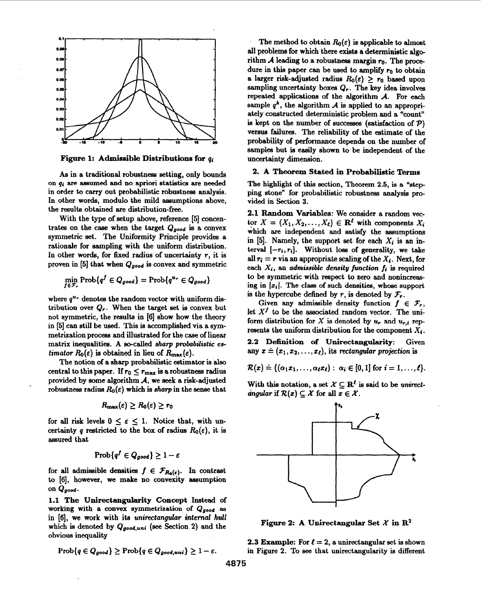

**Figure 1: Admissible Distributions for** qj

*As* in a traditional robustness setting, only bounds **on** *qi* are assumed and **no** apriori statistics are **needed**  in order to carry out probabilistic robustness analysis. **In** other words, modulo the mild assumptions above, the results obtained are distribution-free.

With the type of setup above, reference **[5]** concentrates on the case when the target  $Q_{good}$  is a convex symmetric set. The Uniformity Principle provides a rationale for sampling with the uniform distribution. In other words, for fixed radius of uncertainty **r,** it is proven in [5] that when Qgood **is** convex and symmetric

$$
\min_{f \in \mathcal{F}_r} \operatorname{Prob}\{q^f \in Q_{good}\} = \operatorname{Prob}\{q^{u_r} \in Q_{good}\}
$$

where  $q^{u_r}$  denotes the random vector with uniform distribution over *Q,.* When the target set is convex but not symmetric, the results in [6] show how the theory in **[5]** can still be used. This is accomplished via a symmetrization process and illustrated for the case of linear matrix inequalities. A so-called *sharp probabilistic* **es***timator*  $R_0(\varepsilon)$  is obtained in lieu of  $R_{\text{max}}(\varepsilon)$ .

The notion of a sharp probabilistic estimator is also central to this paper. If  $r_0 \le r_{\text{max}}$  is a robustness radius provided by some algorithm *A,* we seek a risk-adjusted robustness radius  $R_0(\varepsilon)$  which is *sharp* in the sense that

$$
R_{\max}(\varepsilon)\geq R_0(\varepsilon)\geq r_0
$$

for all risk levels  $0 \le \varepsilon \le 1$ . Notice that, with uncertainty q restricted to the box of radius  $R_0(\varepsilon)$ , it is assured that

$$
Prob\{q^f \in Q_{good}\} \geq 1 - \varepsilon
$$

for all admissible densities  $f \in \mathcal{F}_{R_0(\epsilon)}$ . In contrast to **[6],** however, we make no convexity assumption **On** Qgood.

**1.1 The Unirectangularity Concept** Instead **of**  working with a convex symmetrization of *Qgood* **as**  in **[6],** we work with its **unirectangular internal hull**  which is denoted by Qgood,uni *(see* Section **2)** and the obvious inequality

$$
\mathrm{Prob}\{q \in Q_{good}\} \geq \mathrm{Prob}\{q \in Q_{good,uni}\} \geq 1-\varepsilon.
$$

The method to obtain  $R_0(\varepsilon)$  is applicable to almost all problems for which there exists a deterministic alge rithm *A* leading to a rolbustness margin **ro.** The procedure in this paper can be used to amplify  $r_0$  to obtain a larger risk-adjusted radius  $R_0(\varepsilon) \geq r_0$  based upon sampling uncertainty boxes  $Q_r$ . The key idea involves repeated applications of the algorithm *A.* For each sample  $q^k$ , the algorithm *A* is applied to an appropriately constructed deterministic problem and a "count" is kept on the number of successes (satisfaction of  $P$ ) versus failures. The reliability of the estimate of the probability of performance depends on the number of samples but is easily shown to be independent of the uncertainty dimension.

# **2. A Theorem Stated in Probabilistic Terms**

The highlight of this section, Theorem **2.5,** is **a** "step ping stone" for probabilistic robustness analysis provided in Section 3.

**2.1 Random Variables:** We consider a random vector  $X = (X_1, X_2, \ldots, X_\ell) \in \mathbb{R}^{\ell}$  with components  $X_i$ which axe independent and satisfy the assumptions in **[5].** Namely, the support **set** for each *Xi* is an interval  $[-r_i, r_i]$ . Without loss of generality, we take all  $r_i = r$  via an appropriate scaling of the  $X_i$ . Next, for each  $X_i$ , an *admissible density function*  $f_i$  is required to be symmetric with respect to zero and nonincreaaing in  $|x_i|$ . The class of such densities, whose support is the hypercube defined by r, is denoted by  $\mathcal{F}_r$ .

Given any admissible density function  $f \in \mathcal{F}_r$ , let  $X<sup>f</sup>$  to be the associated random vector. The uniform distribution for X is denoted by  $u_r$ , and  $u_{r,i}$  represents the uniform distribution for the component  $X_i$ .

**2.2 Definition of Unirectangularity:** Given any  $x \doteq (x_1, x_2, \ldots, x_\ell)$ , its rectangular projection is

 $\mathcal{R}(x) \doteq \{(\alpha_1 x_1, \ldots, \alpha_\ell x_\ell) : \alpha_i \in [0,1] \text{ for } i = 1,\ldots,\ell\}.$ 

With this notation, a set  $X \subseteq \mathbb{R}^{\ell}$  is said to be *unirectdngular* if  $\mathcal{R}(x) \subseteq \mathcal{X}$  for all  $x \in \mathcal{X}$ .



**Figure 2:** A Unirectangular Set  $\mathcal{X}$  in  $\mathbb{R}^2$ 

**2.3 Example:** For  $\ell = 2$ , a unirectangular set is shown in Figure 2. To see that unirectangularity is different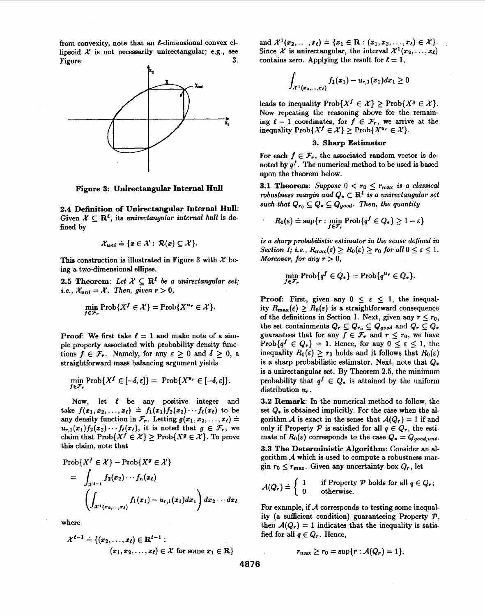from convexity, note that an  $\ell$ -dimensional convex ellipsoid  $X$  is not necessarily unirectangular; e.g., see Figure  $3$ . Figure  $3.$ 



**Figure 3: Unirectangular Internal Hull** 

**2.4 Definition of Unirectangular Internal Hull:** Given  $\mathcal{X} \subset \mathbb{R}^{\ell}$ , its unirectangular internal hull is defined by

$$
\mathcal{X}_{uni} \doteq \{x \in \mathcal{X} : \mathcal{R}(x) \subseteq \mathcal{X}\}.
$$

This construction is illustrated in Figure 3 with *X* being a two-dimensional ellipe.

**2.5 Theorem:** Let  $X \subseteq \mathbb{R}^l$  be a unirectangular set; *i.e.*,  $\mathcal{X}_{uni} = \mathcal{X}$ . Then, given  $r > 0$ ,

$$
\min_{f \in \mathcal{F}_r} \operatorname{Prob}\{X^f \in \mathcal{X}\} = \operatorname{Prob}\{X^{u_r} \in \mathcal{X}\}.
$$

**Proof:** We first take  $\ell = 1$  and make note of a simple property associated with probability density functions  $f \in \mathcal{F}_r$ . Namely, for any  $\varepsilon \geq 0$  and  $\delta \geq 0$ , a straightforward mass balancing argument yields

$$
\min_{f \in \mathcal{F}_r} \mathrm{Prob}\{X^f \in [-\delta, \varepsilon]\} = \mathrm{Prob}\{X^{\mathbf{u}_r} \in [-\delta, \varepsilon]\}.
$$

Now, let *I* be any positive integer and take  $f(x_1, x_2, ..., x_{\ell}) \doteq f_1(x_1) f_2(x_2) \cdots f_{\ell}(x_{\ell})$  to be any density function in  $\mathcal{F}_r$ . Letting  $g(x_1, x_2, \ldots, x_\ell)$  =  $u_{r,1}(x_1) f_2(x_2) \cdots f_{\ell}(x_{\ell}),$  it is noted that  $g \in \mathcal{F}_r$ , we claim that  $\text{Prob}\{X^f \in \mathcal{X}\} \geq \text{Prob}\{X^g \in \mathcal{X}\}.$  To prove this claim, note that

$$
\operatorname{Prob}\{X^f \in \mathcal{X}\} - \operatorname{Prob}\{X^g \in \mathcal{X}\}
$$
  
= 
$$
\int_{\mathcal{X}^{\ell-1}} f_2(x_2) \cdots f_n(x_\ell)
$$
  

$$
\left(\int_{\mathcal{X}^1(x_2,\ldots,x_\ell)} f_1(x_1) - u_{r,1}(x_1) dx_1\right) dx_2 \cdots dx_\ell
$$

where

$$
\mathcal{X}^{\ell-1} \doteq \{ (x_2, \ldots, x_{\ell}) \in \mathbf{R}^{\ell-1} : \\ (x_1, x_2, \ldots, x_{\ell}) \in \mathcal{X} \text{ for some } x_1 \in \mathbf{R} \}
$$

and  $\mathcal{X}^{1}(x_{2},...,x_{\ell}) \doteq \{x_{1} \in \mathbb{R} : (x_{1},x_{2},...,x_{\ell}) \in \mathcal{X}\}.$ Since  $\mathcal{X}$  is unirectangular, the interval  $\mathcal{X}^1(x_2, \ldots, x_\ell)$ contains zero. Applying the result for  $\ell = 1$ ,

$$
\int_{\mathcal{X}^1(x_2,...,x_\ell)} f_1(x_1) - u_{r,1}(x_1) dx_1 \geq 0
$$

leads to inequality  $\text{Prob}\{X^f \in \mathcal{X}\}\geq \text{Prob}\{X^g \in \mathcal{X}\}.$ Now repeating the reasoning above for the remaining  $\ell - 1$  coordinates, for  $f \in \mathcal{F}_r$ , we arrive at the inequality  $\text{Prob}\{X^f \in \mathcal{X}\}\geq \text{Prob}\{X^{u_r} \in \mathcal{X}\}.$ 

# **3. Sharp Estimator**

For each  $f \in \mathcal{F}_r$ , the associated random vector is denoted by  $q<sup>f</sup>$ . The numerical method to be used is based upon the theorem below.

**3.1 Theorem:** Suppose  $0 < r_0 \leq r_{\text{max}}$  is a classical robustness margin and  $Q_* \subset \mathbb{R}^l$  is a unirectangular set such that  $Q_{r_0} \subseteq Q_* \subseteq Q_{good}$ . Then, the quantity

$$
R_0(\varepsilon) \doteq \sup \{r : \min_{f \in \mathcal{F}_r} \mathrm{Prob}\{q^f \in Q_*\} \ge 1-\varepsilon\}
$$

*is* **a sharp probabilistic estimator in the sense defined in**   $Section 1; i.e., R_{\text{max}}(\varepsilon) \ge R_0(\varepsilon) \ge r_0 \text{ for all } 0 \le \varepsilon \le 1.$ Moreover, for any  $r > 0$ ,

$$
\min_{f \in \mathcal{F}_r} \operatorname{Prob}\{q^f \in Q_*\} = \operatorname{Prob}\{q^{u_r} \in Q_*\}.
$$

**Proof:** First, given any  $0 \leq \varepsilon \leq 1$ , the inequality  $R_{\text{max}}(\varepsilon) \geq R_0(\varepsilon)$  is a straightforward consequence of the definitions in Section 1. Next, given any  $r \leq r_0$ , the set containments  $Q_r \subseteq Q_{r_0} \subseteq Q_{good}$  and  $Q_r \subseteq Q_*$ guarantees that for any  $f \in \mathcal{F}_r$  and  $r \leq r_0$ , we have Prob{ $q^f \in Q_*$ } = 1. Hence, for any  $0 \leq \varepsilon \leq 1$ , the inequality  $R_0(\varepsilon) \geq r_0$  holds and it follows that  $R_0(\varepsilon)$ is a sharp probabilistic estimator. Next, note that  $Q_*$ is a unirectangular set. By Theorem **2.5,** the minimum probability that  $q^f \in Q_*$  is attained by the uniform distribution  $u_r$ .

**3.2 Remark:** In the numerical method to follow, the set  $Q_*$  is obtained implicitly. For the case when the algorithm *A* is exact in the sense that  $A(Q_r) = 1$  if and only if Property  $P$  is satisfied for all  $q \in Q_r$ , the estimate of  $R_0(\varepsilon)$  corresponds to the case  $Q_* = Q_{good,uni}$ . **3.3 The Deterministic Algorithm:** Consider **an al**gorithm *A* which is used to compute a robustness margin  $r_0 \n\t\leq r_{\text{max}}$ . Given any uncertainty box  $Q_r$ , let

$$
\mathcal{A}(Q_r) \doteq \left\{ \begin{array}{ll} 1 & \text{if Property } \mathcal{P} \text{ holds for all } q \in Q_r; \\ 0 & \text{otherwise.} \end{array} \right.
$$

For example, if A corresponds to testing some inequality (a sufficient condition) guaranteeing Property  $P$ , then  $\mathcal{A}(Q_r) = 1$  indicates that the inequality is satisfied for all  $q \in Q_r$ . Hence,

$$
r_{\max}\geq r_0=\sup\{r:\mathcal{A}(Q_r)=1\}.
$$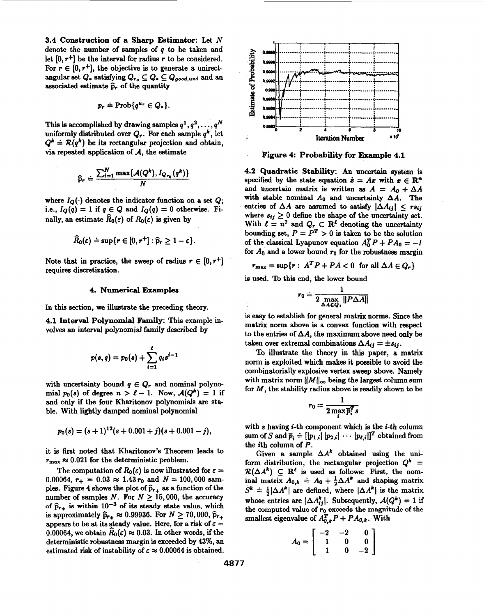**3.4 Construction of a Sharp Estimator:** Let **N**  denote the number of samples of *q* to be taken and let  $[0, r^+]$  be the interval for radius r to be considered. For  $r \in [0, r^+]$ , the objective is to generate a unirectangular set  $Q_*$  satisfying  $Q_{r_0} \subseteq Q_* \subseteq Q_{good,uni}$  and an associated estimate  $\hat{p}_r$  of the quantity

$$
p_r \doteq \mathrm{Prob}\{q^{u_r} \in Q_*\}.
$$

This is accomplished by drawing samples  $q^1, q^2, \ldots, q^N$ uniformly distributed over  $Q_r$ . For each sample  $q^k$ , let  $Q^k \doteq \mathcal{R}(q^k)$  be its rectangular projection and obtain, via repeated application of *A,* the estimate

$$
\widehat{\mathbf{p}}_r \doteq \frac{\sum_{i=1}^N \max\{\mathcal{A}(Q^k), I_{Q_{r_0}}(q^k)\}}{N}
$$

where  $I_Q(\cdot)$  denotes the indicator function on a set  $Q$ ; i.e.,  $I_Q(q) = 1$  if  $q \in Q$  and  $I_Q(q) = 0$  otherwise. Finally, an estimate  $R_0(\varepsilon)$  of  $R_0(\varepsilon)$  is given by

$$
\widehat{R}_0(\varepsilon) \doteq \sup\{r \in [0, r^+] : \widehat{p}_r \geq 1 - \varepsilon\}.
$$

Note that in practice, the sweep of radius  $r \in [0, r^+]$ requires discretization.

### **4. Numerical Examplea**

In this section, we illustrate the preceding theory.

**4.1 Interval Polynoxnial Family:** This example involves **an** interval polynomial family described by

$$
p(s,q) = p_0(s) + \sum_{i=1}^{\ell} q_i s^{i-1}
$$

with uncertainty bound  $q \in Q_r$  and nominal polynomial  $p_0(s)$  of degree  $n > \ell - 1$ . Now,  $\mathcal{A}(Q^k) = 1$  if and only if the four Kharitonov polynomials are stable. With lightly damped nominal polynomial

$$
p_0(s) = (s+1)^{12}(s+0.001+j)(s+0.001-j),
$$

it is first noted that Kharitonov's Theorem leads to  $r_{\text{max}} \approx 0.021$  for the deterministic problem.

The computation of  $R_0(\varepsilon)$  is now illustrated for  $\varepsilon =$ 0.00064,  $r_+ = 0.03 \approx 1.43 r_0$  and  $N = 100,000$  samples. Figure 4 shows the plot of  $\hat{p}_{r+}$  as a function of the number of samples *N*. For  $N \ge 15,000$ , the accuracy of  $\hat{p}_{r+}$  is within 10<sup>-3</sup> of its steady state value, which is approximately  $\hat{p}_{r+} \approx 0.99936$ . For  $N \ge 70,000$ ,  $\hat{p}_{r+}$ appears to be at its steady value. Here, for a risk of  $\varepsilon =$ 0.00064, we obtain  $\hat{R}_0(\varepsilon) \approx 0.03$ . In other words, if the deterministic robustneas margin is exceeded by **43%, an**  estimated risk of instability of  $\varepsilon \approx 0.00064$  is obtained.



**Figure 4: Probability for Example 4.1** 

**4.2 Quadratic Stability: An** uncertain system is specified by the state equation  $\dot{x} = Ax$  with  $x \in \mathbb{R}^n$ and uncertain matrix is written as  $A = A_0 + \Delta A$ with stable nominal  $A_0$  and uncertainty  $\Delta A$ . The entries of  $\Delta A$  are assumed to satisfy  $|\Delta A_{ij}| \leq rs_{ij}$ where  $s_{ij} \geq 0$  define the shape of the uncertainty set. With  $\ell = n^2$  and  $Q_r \subset \mathbb{R}^{\ell}$  denoting the uncertainty bounding set,  $P = P^T > 0$  is taken to be the solution of the classical Lyapunov equation  $A_0^T P + P A_0 = -I$ for  $A_0$  and a lower bound  $r_0$  for the robustness margin

$$
r_{\max} = \sup\{r: A^T P + P A < 0 \text{ for all } \Delta A \in Q_r\}
$$

is used. **To** this end, the lower bound

$$
r_0 \doteq \frac{1}{2 \max_{\Delta A \in Q_1} ||P \Delta A||}
$$

is easy to establish for general matrix norms. Since the matrix norm above is a convex function with respect to the entries of  $\Delta A$ , the maximum above need only be taken over extremal combinations  $\Delta A_{ij} = \pm s_{ij}$ .

To illustrate the theory in this paper, a matrix norm is exploited which makes it possible to avoid the combinatorially explosive vertex sweep above. Namely with matrix norm  $||M||_{\infty}$  being the largest column sum for *M,* the stability radius above is readily shown to be

$$
r_0 = \frac{1}{2 \max \overline{p}_i^T s}
$$

with *s* having *i*-th component which is the *i*-th column sum of S and  $\overline{p}_i \doteq [|p_{1,i}| |p_{2,i}| \cdots |p_{\ell,i}|]^T$  obtained from the ith column of *P.* 

Given a sample  $\Delta A^k$  obtained using the uniform distribution, the rectangular projection  $Q^k$  =  $\mathcal{R}(\Delta A^k) \subseteq \mathbb{R}^l$  is used as follows: First, the nominal matrix  $A_{0,k} \doteq A_0 + \frac{1}{2} \Delta A^k$  and shaping matrix  $S^k \doteq \frac{1}{2}|\Delta A^k|$  are defined, where  $|\Delta A^k|$  is the matrix whose entries are  $|\Delta A_{ij}^k|$ . Subsequently,  $\mathcal{A}(Q^k) = 1$  if the computed **value of ro exceeds the magnitude of the**  smallest eigenvalue of  $A_{0,k}^T P + P A_{0,k}$ . With

$$
A_0 = \left[ \begin{array}{rrr} -2 & -2 & 0 \\ 1 & 0 & 0 \\ 1 & 0 & -2 \end{array} \right]
$$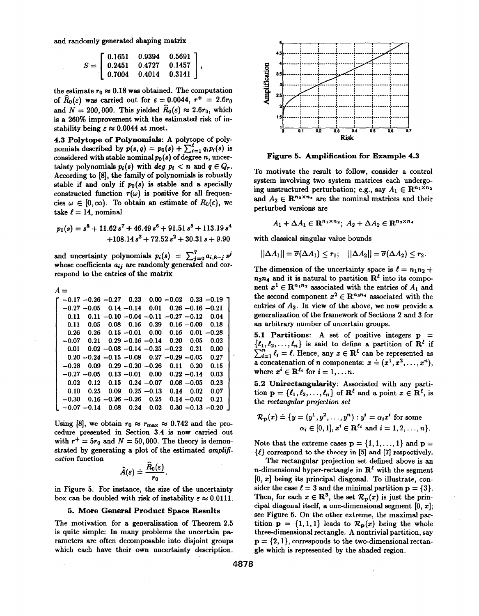and randomly generated shaping matrix

$$
S = \left[ \begin{array}{ccc} 0.1651 & 0.9394 & 0.5691 \\ 0.2451 & 0.4727 & 0.1457 \\ 0.7004 & 0.4014 & 0.3141 \end{array} \right],
$$

the estimate  $r_0 \approx 0.18$  was obtained. The computation of  $\widehat{R}_0(\varepsilon)$  was carried out for  $\varepsilon = 0.0044$ ,  $r^+ = 2.6r_0$ and  $N = 200,000$ . This yielded  $\widehat{R}_0(\varepsilon) \approx 2.6r_0$ , which is a 260% improvement with the estimated risk of instability being  $\varepsilon \approx 0.0044$  at most.

**4.3 Polytope of Polynomials:** A polytope of polynomials described by  $p(s, q) = p_0(s) + \sum_{i=1}^{l} q_i p_i(s)$  is considered with stable nominal  $p_0(s)$  of degree n, uncertainty polynomials  $p_i(s)$  with *deg*  $p_i < n$  and  $q \in Q_r$ . According to **[8],** the family **of** polynomials is robustly stable if and only if  $p_0(s)$  is stable and a specially constructed function  $\tau(\omega)$  is positive for all frequencies  $\omega \in [0, \infty)$ . To obtain an estimate of  $R_0(\varepsilon)$ , we take  $\ell = 14$ , nominal

$$
p_0(s) = s^8 + 11.62 s^7 + 46.49 s^6 + 91.51 s^5 + 113.19 s^4
$$
  
+108.14 s<sup>3</sup> + 72.52 s<sup>2</sup> + 30.31 s + 9.90

and uncertainty polynomials  $p_i(s) = \sum_{j=0}^{7} a_{i,8-j} s^j$ whose coefficients  $a_{ij}$  are randomly generated and correspond to the entries of the matrix

| А = |         |                |                      |                                                       |               |      |                      |                               |  |
|-----|---------|----------------|----------------------|-------------------------------------------------------|---------------|------|----------------------|-------------------------------|--|
|     |         |                |                      | $-0.17 - 0.26 - 0.27$ 0.23                            |               |      |                      | $0.00 - 0.02$ $0.23 - 0.19$ T |  |
|     |         | $-0.27 - 0.05$ |                      | $0.14 - 0.14$ 0.01                                    |               |      | $0.26 - 0.16 - 0.21$ |                               |  |
|     | 0.11    |                |                      | $0.11 - 0.10 - 0.04 - 0.11 - 0.27 - 0.12$             |               |      |                      | 0.04                          |  |
|     | 0.11    | 0.05           |                      | $0.08$ 0.16 0.29                                      |               |      | $0.16 - 0.09$        | 0.18                          |  |
|     | 0.26    | 0.26           |                      | $0.15 - 0.01$                                         | 0.00          | 0.16 |                      | $0.01 - 0.28$                 |  |
|     | $-0.07$ |                |                      | $0.21$ $0.29 - 0.16 - 0.14$ $0.20$ $0.05$             |               |      |                      | 0.02                          |  |
|     | 0.01    |                |                      | $0.02 - 0.08 - 0.14 - 0.25 - 0.22$ 0.21               |               |      |                      | 0.00                          |  |
|     |         |                |                      | $0.20 - 0.24 - 0.15 - 0.08$ $0.27 - 0.29 - 0.05$ 0.27 |               |      |                      |                               |  |
|     | $-0.28$ | 0.09           |                      | $0.29 - 0.20 - 0.26$                                  |               | 0.11 | 0.20                 | 0.15                          |  |
|     |         |                |                      | $-0.27 - 0.05$ 0.13 $-0.01$                           | 0.00          |      | $0.22 - 0.14$ 0.03   |                               |  |
|     | 0.02    | 0.12           |                      | $0.15 \quad 0.24 \ -0.07$                             |               |      | $0.08 - 0.05$        | 0.23                          |  |
|     | 0.10    | 0.25           | 0.09                 |                                                       | $0.25 - 0.13$ | 0.14 | 0.02                 | 0.07                          |  |
|     | $-0.30$ |                | $0.16 - 0.26 - 0.26$ |                                                       | 0.25          |      | $0.14 - 0.02$        | 0.21                          |  |
|     |         | $-0.07 - 0.14$ | 0.08                 | 0.24                                                  | 0.02          |      | $0.30 - 0.13 - 0.20$ |                               |  |

Using [8], we obtain  $r_0 \approx r_{\text{max}} \approx 0.742$  and the procedure presented in Section 3.4 is now carried out with  $r^+ = 5r_0$  and  $N = 50,000$ . The theory is demonstrated by generating a plot of the estimated amplification function

$$
\widehat{A}(\varepsilon) \doteq \frac{\widehat{R}_0(\varepsilon)}{r_0}.
$$

in Figure 5. For instance, the size of the uncertainty box can be doubled with risk of instability  $\varepsilon \approx 0.0111$ .

# 5. More General Product Space Results

The motivation for a generalization of Theorem 2.5 is quite simple: In many problems the uncertain parameters are often decomposable into disjoint groups which each have their own uncertainty description.



**Figure 5. Amplification for Example 4.3** 

To motivate the result to follow, consider a control system involving two system matrices each underge ing unstructured perturbation; e.g., say  $A_1 \in \mathbb{R}^{n_1 \times n_2}$ and  $A_2 \in \mathbb{R}^{n_3 \times n_4}$  are the nominal matrices and their perturbed versions are

$$
A_1 + \Delta A_1 \in \mathbf{R}^{n_1 \times n_2}; \ A_2 + \Delta A_2 \in \mathbf{R}^{n_3 \times n_4}
$$

with classical singular value bounds

 $||\Delta A_1|| = \overline{\sigma}(\Delta A_1) < r_1;$   $||\Delta A_2|| = \overline{\sigma}(\Delta A_2) < r_2.$ 

The dimension of the uncertainty space is  $\ell = n_1 n_2 +$  $n_3n_4$  and it is natural to partition  $\mathbf{R}^t$  into its component  $x^1 \in \mathbb{R}^{n_1 n_2}$  associated with the entries of  $A_1$  and the second component  $x^2 \in \mathbb{R}^{n_3 n_4}$  associated with the entries of *A2.* In view of the above, we now provide a generalization of the framework of Sections **2** and 3 for an arbitrary number of uncertain groups.

**5.1 Partitions: A** set of positive integers **p** =  $\{e_1, e_2, \ldots, e_n\}$  is said to define a partition of  $\mathbb{R}^l$  if  $\sum_{i=1}^{n} \ell_i = \ell$ . Hence, any  $x \in \mathbb{R}^{\ell}$  can be represented as a concatenation of *n* components:  $x = (x^1, x^2, \ldots, x^n)$ , where  $x^i \in \mathbb{R}^{\ell_i}$  for  $i = 1, \ldots n$ .

**5.2 Unirectangularity:** Associated with any partition  $\mathbf{p} = {\ell_1, \ell_2, ..., \ell_n}$  of  $\mathbf{R}^l$  and a point  $x \in \mathbf{R}^l$ , is the rectangular projection set

$$
\mathcal{R}_{\mathbf{p}}(x) \doteq \{y = (y^1, y^2, \dots, y^n) : y^i = \alpha_i x^i \text{ for some } \alpha_i \in [0, 1], x^i \in \mathbb{R}^{\ell_i} \text{ and } i = 1, 2, \dots, n\}.
$$

Note that the extreme cases  $p = \{1, 1, \ldots, 1\}$  and  $p =$  $\{\ell\}$  correspond to the theory in [5] and [7] respectively.

The rectangular projection set defined above is an n-dimensional hyper-rectangle in  $\mathbb{R}^{\ell}$  with the segment [0, **z]** being its principal diagonal. To illustrate, consider the case  $\ell = 3$  and the minimal partition  $p = \{3\}$ . Then, for each  $x \in \mathbb{R}^3$ , the set  $\mathcal{R}_{\mathbf{p}}(x)$  is just the principal diagonal itself, a one-dimensional segment [0, *x]* ; see Figure **6.** On the other extreme, the maximal partition  $p = \{1,1,1\}$  leads to  $\mathcal{R}_p(x)$  being the whole three-dimensional rectangle. A nontrivial partition, say  $\mathbf{p} = \{2, 1\}$ , corresponds to the two-dimensional rectangle which is represented by the shaded region.